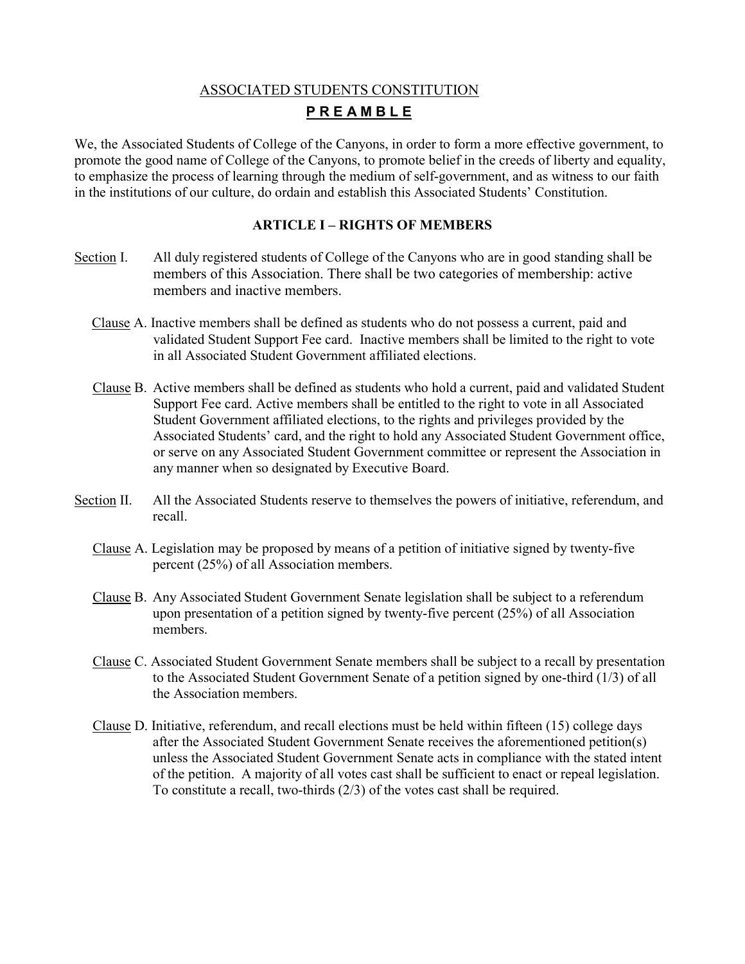# ASSOCIATED STUDENTS CONSTITUTION **P R E A M B L E**

We, the Associated Students of College of the Canyons, in order to form a more effective government, to promote the good name of College of the Canyons, to promote belief in the creeds of liberty and equality, to emphasize the process of learning through the medium of self-government, and as witness to our faith in the institutions of our culture, do ordain and establish this Associated Students' Constitution.

# **ARTICLE I – RIGHTS OF MEMBERS**

- Section I. All duly registered students of College of the Canyons who are in good standing shall be members of this Association. There shall be two categories of membership: active members and inactive members.
	- Clause A. Inactive members shall be defined as students who do not possess a current, paid and validated Student Support Fee card. Inactive members shall be limited to the right to vote in all Associated Student Government affiliated elections.
	- Clause B. Active members shall be defined as students who hold a current, paid and validated Student Support Fee card. Active members shall be entitled to the right to vote in all Associated Student Government affiliated elections, to the rights and privileges provided by the Associated Students' card, and the right to hold any Associated Student Government office, or serve on any Associated Student Government committee or represent the Association in any manner when so designated by Executive Board.
- Section II. All the Associated Students reserve to themselves the powers of initiative, referendum, and recall.
	- Clause A. Legislation may be proposed by means of a petition of initiative signed by twenty-five percent (25%) of all Association members.
	- Clause B. Any Associated Student Government Senate legislation shall be subject to a referendum upon presentation of a petition signed by twenty-five percent (25%) of all Association members.
	- Clause C. Associated Student Government Senate members shall be subject to a recall by presentation to the Associated Student Government Senate of a petition signed by one-third (1/3) of all the Association members.
	- Clause D. Initiative, referendum, and recall elections must be held within fifteen (15) college days after the Associated Student Government Senate receives the aforementioned petition(s) unless the Associated Student Government Senate acts in compliance with the stated intent of the petition. A majority of all votes cast shall be sufficient to enact or repeal legislation. To constitute a recall, two-thirds (2/3) of the votes cast shall be required.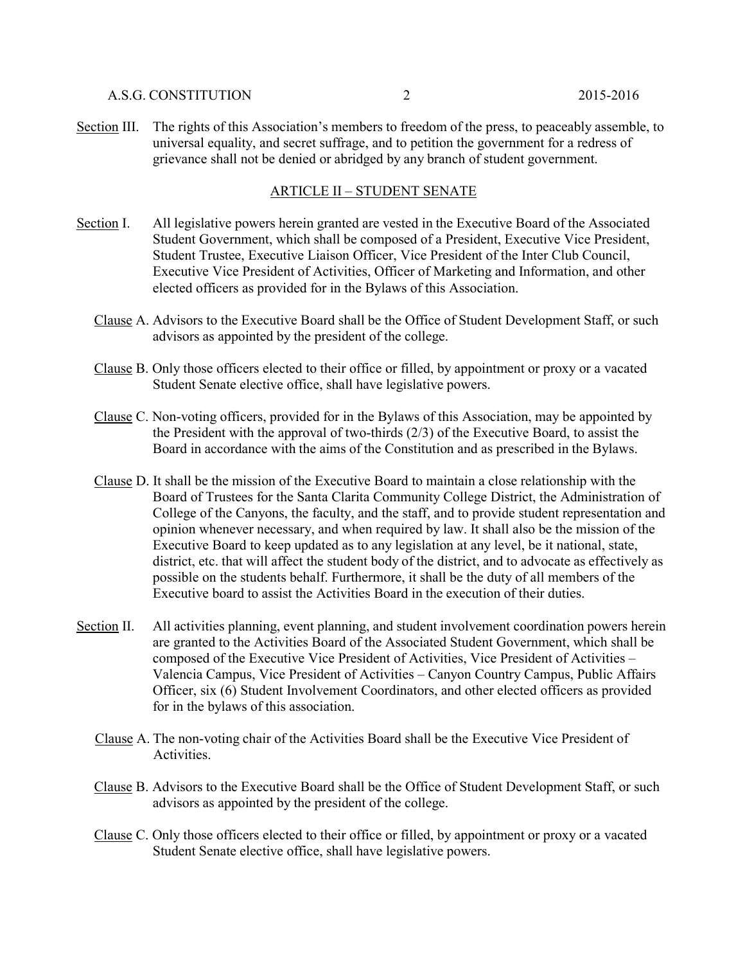#### A.S.G. CONSTITUTION 2 2015-2016

Section III. The rights of this Association's members to freedom of the press, to peaceably assemble, to universal equality, and secret suffrage, and to petition the government for a redress of grievance shall not be denied or abridged by any branch of student government.

#### ARTICLE II – STUDENT SENATE

- Section I. All legislative powers herein granted are vested in the Executive Board of the Associated Student Government, which shall be composed of a President, Executive Vice President, Student Trustee, Executive Liaison Officer, Vice President of the Inter Club Council, Executive Vice President of Activities, Officer of Marketing and Information, and other elected officers as provided for in the Bylaws of this Association.
	- Clause A. Advisors to the Executive Board shall be the Office of Student Development Staff, or such advisors as appointed by the president of the college.
	- Clause B. Only those officers elected to their office or filled, by appointment or proxy or a vacated Student Senate elective office, shall have legislative powers.
	- Clause C. Non-voting officers, provided for in the Bylaws of this Association, may be appointed by the President with the approval of two-thirds (2/3) of the Executive Board, to assist the Board in accordance with the aims of the Constitution and as prescribed in the Bylaws.
	- Clause D. It shall be the mission of the Executive Board to maintain a close relationship with the Board of Trustees for the Santa Clarita Community College District, the Administration of College of the Canyons, the faculty, and the staff, and to provide student representation and opinion whenever necessary, and when required by law. It shall also be the mission of the Executive Board to keep updated as to any legislation at any level, be it national, state, district, etc. that will affect the student body of the district, and to advocate as effectively as possible on the students behalf. Furthermore, it shall be the duty of all members of the Executive board to assist the Activities Board in the execution of their duties.
- Section II. All activities planning, event planning, and student involvement coordination powers herein are granted to the Activities Board of the Associated Student Government, which shall be composed of the Executive Vice President of Activities, Vice President of Activities – Valencia Campus, Vice President of Activities – Canyon Country Campus, Public Affairs Officer, six (6) Student Involvement Coordinators, and other elected officers as provided for in the bylaws of this association.
	- Clause A. The non-voting chair of the Activities Board shall be the Executive Vice President of Activities.
	- Clause B. Advisors to the Executive Board shall be the Office of Student Development Staff, or such advisors as appointed by the president of the college.
	- Clause C. Only those officers elected to their office or filled, by appointment or proxy or a vacated Student Senate elective office, shall have legislative powers.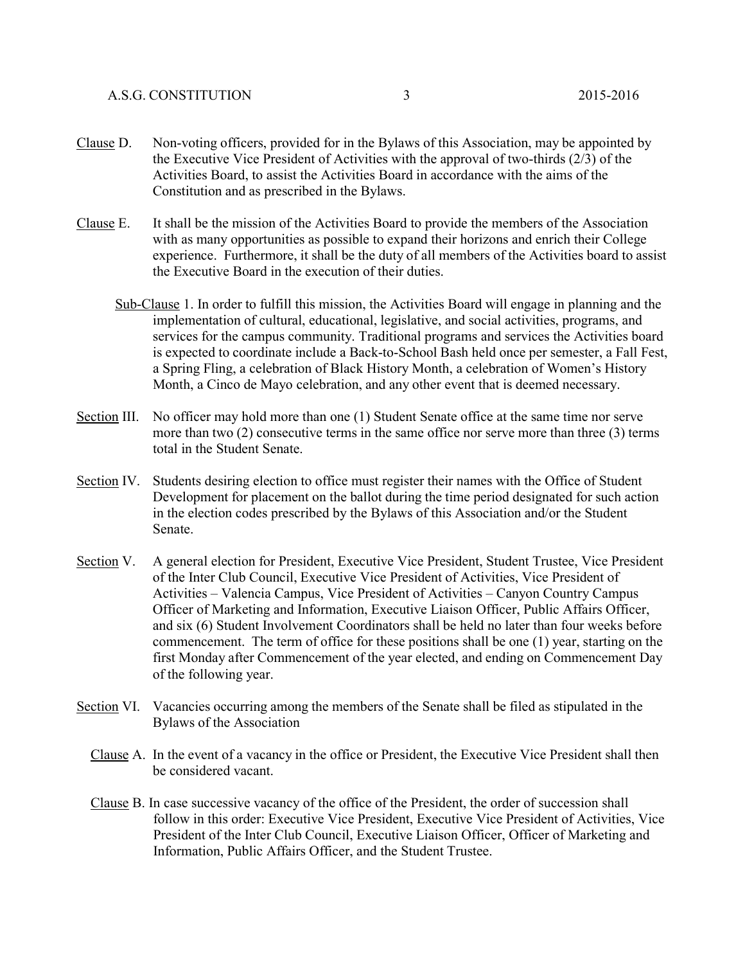- Clause D. Non-voting officers, provided for in the Bylaws of this Association, may be appointed by the Executive Vice President of Activities with the approval of two-thirds (2/3) of the Activities Board, to assist the Activities Board in accordance with the aims of the Constitution and as prescribed in the Bylaws.
- Clause E. It shall be the mission of the Activities Board to provide the members of the Association with as many opportunities as possible to expand their horizons and enrich their College experience. Furthermore, it shall be the duty of all members of the Activities board to assist the Executive Board in the execution of their duties.
	- Sub-Clause 1. In order to fulfill this mission, the Activities Board will engage in planning and the implementation of cultural, educational, legislative, and social activities, programs, and services for the campus community. Traditional programs and services the Activities board is expected to coordinate include a Back-to-School Bash held once per semester, a Fall Fest, a Spring Fling, a celebration of Black History Month, a celebration of Women's History Month, a Cinco de Mayo celebration, and any other event that is deemed necessary.
- Section III. No officer may hold more than one (1) Student Senate office at the same time nor serve more than two (2) consecutive terms in the same office nor serve more than three (3) terms total in the Student Senate.
- Section IV. Students desiring election to office must register their names with the Office of Student Development for placement on the ballot during the time period designated for such action in the election codes prescribed by the Bylaws of this Association and/or the Student Senate.
- Section V. A general election for President, Executive Vice President, Student Trustee, Vice President of the Inter Club Council, Executive Vice President of Activities, Vice President of Activities – Valencia Campus, Vice President of Activities – Canyon Country Campus Officer of Marketing and Information, Executive Liaison Officer, Public Affairs Officer, and six (6) Student Involvement Coordinators shall be held no later than four weeks before commencement. The term of office for these positions shall be one (1) year, starting on the first Monday after Commencement of the year elected, and ending on Commencement Day of the following year.
- Section VI. Vacancies occurring among the members of the Senate shall be filed as stipulated in the Bylaws of the Association
	- Clause A. In the event of a vacancy in the office or President, the Executive Vice President shall then be considered vacant.
	- Clause B. In case successive vacancy of the office of the President, the order of succession shall follow in this order: Executive Vice President, Executive Vice President of Activities, Vice President of the Inter Club Council, Executive Liaison Officer, Officer of Marketing and Information, Public Affairs Officer, and the Student Trustee.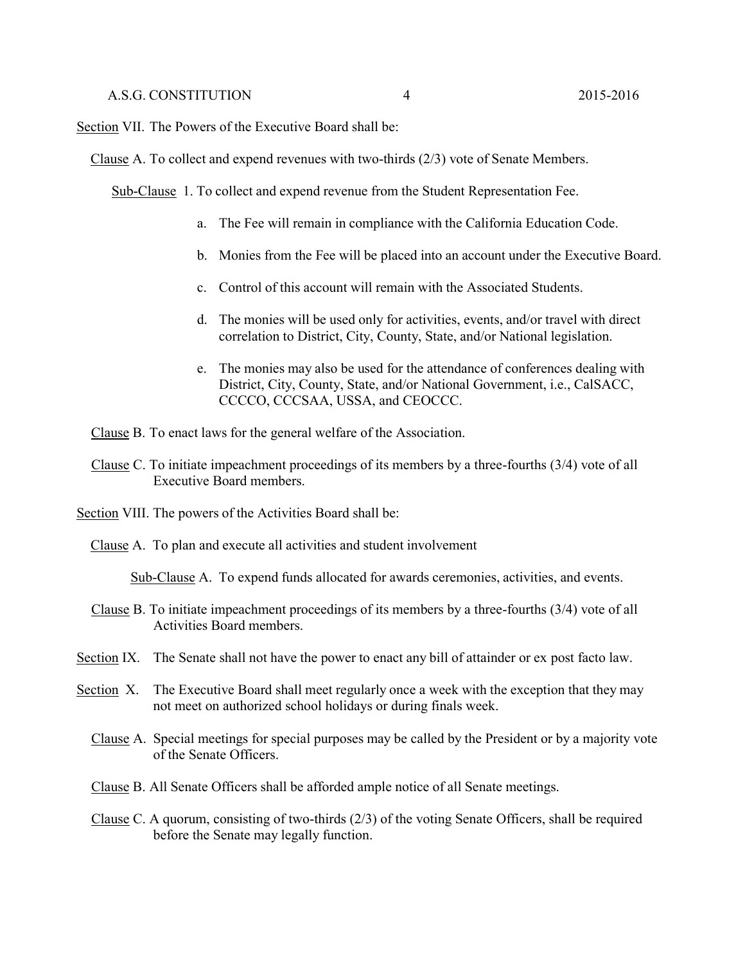Section VII. The Powers of the Executive Board shall be:

Clause A. To collect and expend revenues with two-thirds (2/3) vote of Senate Members.

Sub-Clause 1. To collect and expend revenue from the Student Representation Fee.

- a. The Fee will remain in compliance with the California Education Code.
- b. Monies from the Fee will be placed into an account under the Executive Board.
- c. Control of this account will remain with the Associated Students.
- d. The monies will be used only for activities, events, and/or travel with direct correlation to District, City, County, State, and/or National legislation.
- e. The monies may also be used for the attendance of conferences dealing with District, City, County, State, and/or National Government, i.e., CalSACC, CCCCO, CCCSAA, USSA, and CEOCCC.

Clause B. To enact laws for the general welfare of the Association.

- Clause C. To initiate impeachment proceedings of its members by a three-fourths (3/4) vote of all Executive Board members.
- Section VIII. The powers of the Activities Board shall be:
	- Clause A. To plan and execute all activities and student involvement

Sub-Clause A. To expend funds allocated for awards ceremonies, activities, and events.

- Clause B. To initiate impeachment proceedings of its members by a three-fourths (3/4) vote of all Activities Board members.
- Section IX. The Senate shall not have the power to enact any bill of attainder or ex post facto law.
- Section X. The Executive Board shall meet regularly once a week with the exception that they may not meet on authorized school holidays or during finals week.
	- Clause A. Special meetings for special purposes may be called by the President or by a majority vote of the Senate Officers.
	- Clause B. All Senate Officers shall be afforded ample notice of all Senate meetings.
	- Clause C. A quorum, consisting of two-thirds (2/3) of the voting Senate Officers, shall be required before the Senate may legally function.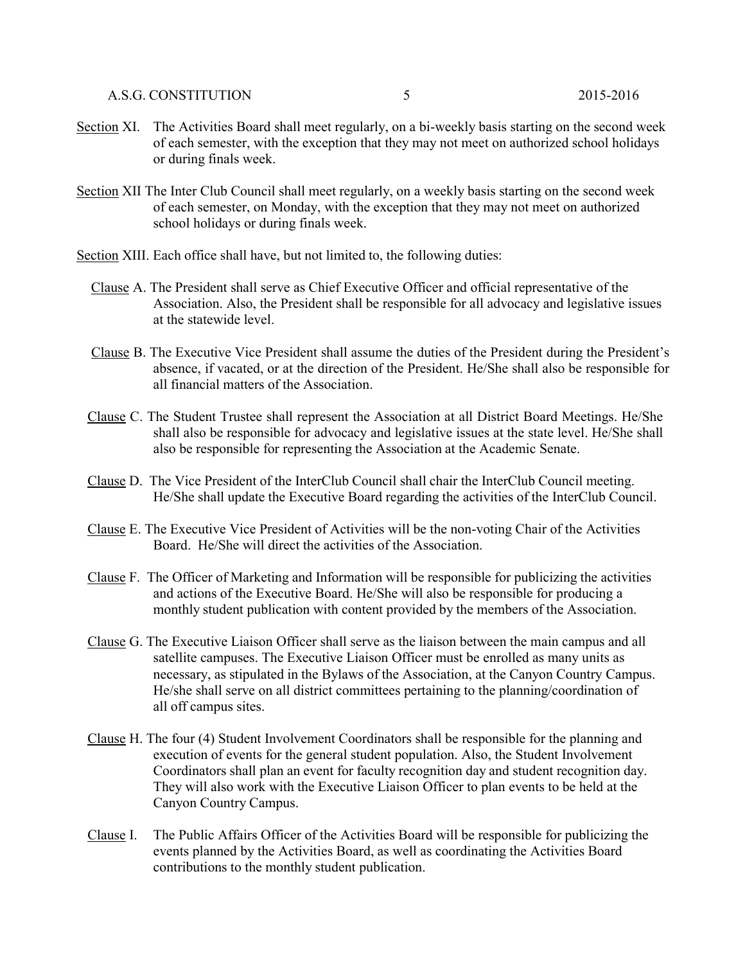- Section XI. The Activities Board shall meet regularly, on a bi-weekly basis starting on the second week of each semester, with the exception that they may not meet on authorized school holidays or during finals week.
- Section XII The Inter Club Council shall meet regularly, on a weekly basis starting on the second week of each semester, on Monday, with the exception that they may not meet on authorized school holidays or during finals week.
- Section XIII. Each office shall have, but not limited to, the following duties:
	- Clause A. The President shall serve as Chief Executive Officer and official representative of the Association. Also, the President shall be responsible for all advocacy and legislative issues at the statewide level.
	- Clause B. The Executive Vice President shall assume the duties of the President during the President's absence, if vacated, or at the direction of the President. He/She shall also be responsible for all financial matters of the Association.
	- Clause C. The Student Trustee shall represent the Association at all District Board Meetings. He/She shall also be responsible for advocacy and legislative issues at the state level. He/She shall also be responsible for representing the Association at the Academic Senate.
	- Clause D. The Vice President of the InterClub Council shall chair the InterClub Council meeting. He/She shall update the Executive Board regarding the activities of the InterClub Council.
	- Clause E. The Executive Vice President of Activities will be the non-voting Chair of the Activities Board. He/She will direct the activities of the Association.
	- Clause F. The Officer of Marketing and Information will be responsible for publicizing the activities and actions of the Executive Board. He/She will also be responsible for producing a monthly student publication with content provided by the members of the Association.
	- Clause G. The Executive Liaison Officer shall serve as the liaison between the main campus and all satellite campuses. The Executive Liaison Officer must be enrolled as many units as necessary, as stipulated in the Bylaws of the Association, at the Canyon Country Campus. He/she shall serve on all district committees pertaining to the planning/coordination of all off campus sites.
	- Clause H. The four (4) Student Involvement Coordinators shall be responsible for the planning and execution of events for the general student population. Also, the Student Involvement Coordinators shall plan an event for faculty recognition day and student recognition day. They will also work with the Executive Liaison Officer to plan events to be held at the Canyon Country Campus.
	- Clause I. The Public Affairs Officer of the Activities Board will be responsible for publicizing the events planned by the Activities Board, as well as coordinating the Activities Board contributions to the monthly student publication.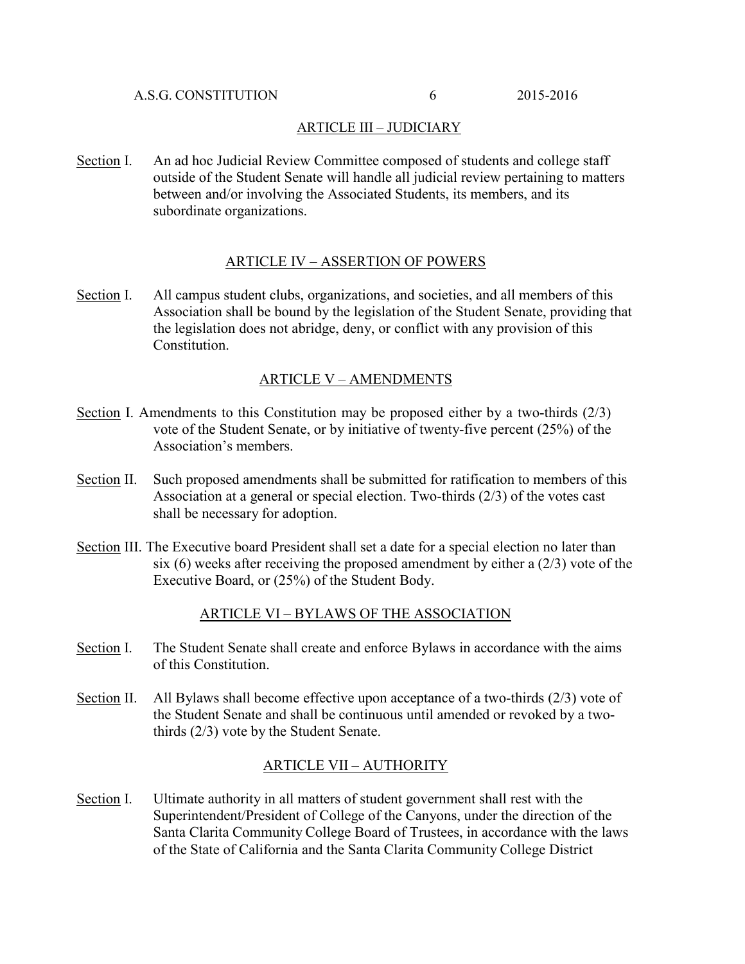## ARTICLE III – JUDICIARY

Section I. An ad hoc Judicial Review Committee composed of students and college staff outside of the Student Senate will handle all judicial review pertaining to matters between and/or involving the Associated Students, its members, and its subordinate organizations.

### ARTICLE IV – ASSERTION OF POWERS

Section I. All campus student clubs, organizations, and societies, and all members of this Association shall be bound by the legislation of the Student Senate, providing that the legislation does not abridge, deny, or conflict with any provision of this Constitution.

### ARTICLE V – AMENDMENTS

- Section I. Amendments to this Constitution may be proposed either by a two-thirds (2/3) vote of the Student Senate, or by initiative of twenty-five percent (25%) of the Association's members.
- Section II. Such proposed amendments shall be submitted for ratification to members of this Association at a general or special election. Two-thirds (2/3) of the votes cast shall be necessary for adoption.
- Section III. The Executive board President shall set a date for a special election no later than six  $(6)$  weeks after receiving the proposed amendment by either a  $(2/3)$  vote of the Executive Board, or (25%) of the Student Body.

# ARTICLE VI – BYLAWS OF THE ASSOCIATION

- Section I. The Student Senate shall create and enforce Bylaws in accordance with the aims of this Constitution.
- Section II. All Bylaws shall become effective upon acceptance of a two-thirds (2/3) vote of the Student Senate and shall be continuous until amended or revoked by a twothirds (2/3) vote by the Student Senate.

#### ARTICLE VII – AUTHORITY

Section I. Ultimate authority in all matters of student government shall rest with the Superintendent/President of College of the Canyons, under the direction of the Santa Clarita Community College Board of Trustees, in accordance with the laws of the State of California and the Santa Clarita Community College District